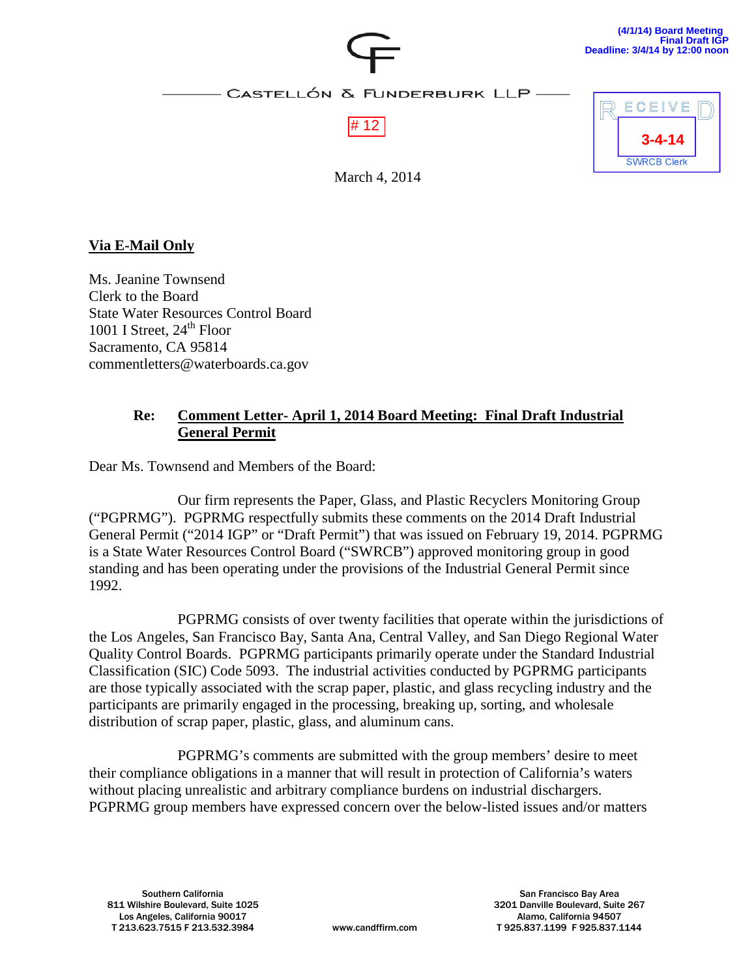

March 4, 2014

### **Via E-Mail Only**

Ms. Jeanine Townsend Clerk to the Board State Water Resources Control Board 1001 I Street,  $24<sup>th</sup>$  Floor Sacramento, CA 95814 commentletters@waterboards.ca.gov

### **Re: Comment Letter- April 1, 2014 Board Meeting: Final Draft Industrial General Permit**

Dear Ms. Townsend and Members of the Board:

Our firm represents the Paper, Glass, and Plastic Recyclers Monitoring Group ("PGPRMG"). PGPRMG respectfully submits these comments on the 2014 Draft Industrial General Permit ("2014 IGP" or "Draft Permit") that was issued on February 19, 2014. PGPRMG is a State Water Resources Control Board ("SWRCB") approved monitoring group in good standing and has been operating under the provisions of the Industrial General Permit since 1992.

PGPRMG consists of over twenty facilities that operate within the jurisdictions of the Los Angeles, San Francisco Bay, Santa Ana, Central Valley, and San Diego Regional Water Quality Control Boards. PGPRMG participants primarily operate under the Standard Industrial Classification (SIC) Code 5093. The industrial activities conducted by PGPRMG participants are those typically associated with the scrap paper, plastic, and glass recycling industry and the participants are primarily engaged in the processing, breaking up, sorting, and wholesale distribution of scrap paper, plastic, glass, and aluminum cans.

PGPRMG's comments are submitted with the group members' desire to meet their compliance obligations in a manner that will result in protection of California's waters without placing unrealistic and arbitrary compliance burdens on industrial dischargers. PGPRMG group members have expressed concern over the below-listed issues and/or matters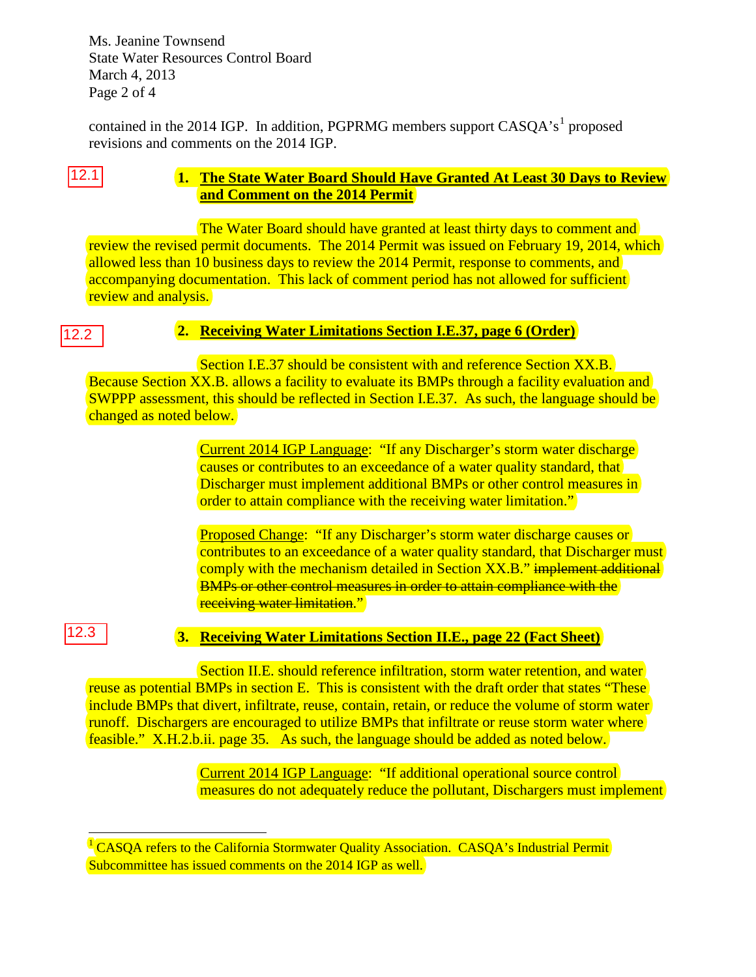Ms. Jeanine Townsend State Water Resources Control Board March 4, 2013 Page 2 of 4

contained in the 20[1](#page-1-0)4 IGP. In addition, PGPRMG members support  $CASQA's<sup>1</sup>$  proposed revisions and comments on the 2014 IGP.

# 12.1

### **1. The State Water Board Should Have Granted At Least 30 Days to Review and Comment on the 2014 Permit**

The Water Board should have granted at least thirty days to comment and review the revised permit documents. The 2014 Permit was issued on February 19, 2014, which allowed less than 10 business days to review the 2014 Permit, response to comments, and accompanying documentation. This lack of comment period has not allowed for sufficient review and analysis.

### 12.2

## **2. Receiving Water Limitations Section I.E.37, page 6 (Order)**

Section I.E.37 should be consistent with and reference Section XX.B. Because Section XX.B. allows a facility to evaluate its BMPs through a facility evaluation and SWPPP assessment, this should be reflected in Section I.E.37. As such, the language should be changed as noted below.

> Current 2014 IGP Language: "If any Discharger's storm water discharge causes or contributes to an exceedance of a water quality standard, that Discharger must implement additional BMPs or other control measures in order to attain compliance with the receiving water limitation."

Proposed Change: "If any Discharger's storm water discharge causes or contributes to an exceedance of a water quality standard, that Discharger must comply with the mechanism detailed in Section XX.B." implement additional BMPs or other control measures in order to attain compliance with the receiving water limitation."

12.3

### **3. Receiving Water Limitations Section II.E., page 22 (Fact Sheet)**

Section II.E. should reference infiltration, storm water retention, and water reuse as potential BMPs in section E. This is consistent with the draft order that states "These include BMPs that divert, infiltrate, reuse, contain, retain, or reduce the volume of storm water runoff. Dischargers are encouraged to utilize BMPs that infiltrate or reuse storm water where feasible." X.H.2.b.ii. page 35. As such, the language should be added as noted below.

> Current 2014 IGP Language: "If additional operational source control measures do not adequately reduce the pollutant, Dischargers must implement

<span id="page-1-0"></span><sup>&</sup>lt;sup>1</sup> CASQA refers to the California Stormwater Quality Association. CASQA's Industrial Permit Subcommittee has issued comments on the 2014 IGP as well.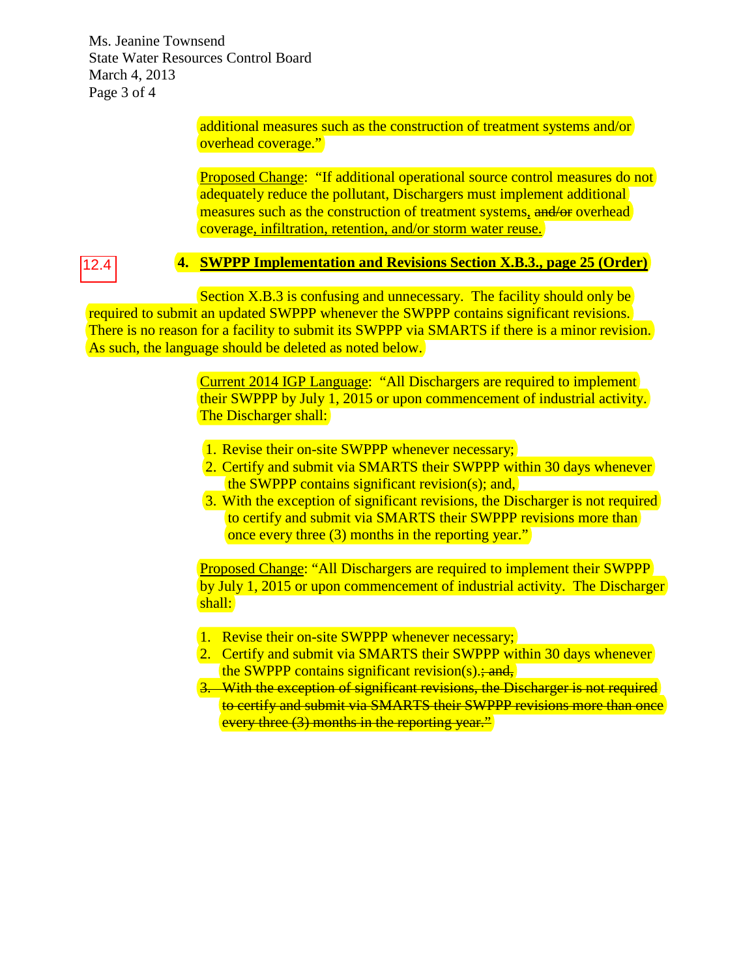Ms. Jeanine Townsend State Water Resources Control Board March 4, 2013 Page 3 of 4

> additional measures such as the construction of treatment systems and/or overhead coverage."

Proposed Change: "If additional operational source control measures do not adequately reduce the pollutant, Dischargers must implement additional measures such as the construction of treatment systems, and/or overhead coverage, infiltration, retention, and/or storm water reuse.

12.4

#### **4. SWPPP Implementation and Revisions Section X.B.3., page 25 (Order)**

Section X.B.3 is confusing and unnecessary. The facility should only be required to submit an updated SWPPP whenever the SWPPP contains significant revisions. There is no reason for a facility to submit its SWPPP via SMARTS if there is a minor revision. As such, the language should be deleted as noted below.

> Current 2014 IGP Language: "All Dischargers are required to implement their SWPPP by July 1, 2015 or upon commencement of industrial activity. The Discharger shall:

- 1. Revise their on-site SWPPP whenever necessary;
- 2. Certify and submit via SMARTS their SWPPP within 30 days whenever the SWPPP contains significant revision(s); and,
- 3. With the exception of significant revisions, the Discharger is not required to certify and submit via SMARTS their SWPPP revisions more than once every three (3) months in the reporting year."

Proposed Change: "All Dischargers are required to implement their SWPPP by July 1, 2015 or upon commencement of industrial activity. The Discharger shall:

- 1. Revise their on-site SWPPP whenever necessary;
- 2. Certify and submit via SMARTS their SWPPP within 30 days whenever the SWPPP contains significant revision(s): $\frac{1}{2}$  and,
- 3. With the exception of significant revisions, the Discharger is not required to certify and submit via SMARTS their SWPPP revisions more than once every three (3) months in the reporting year."